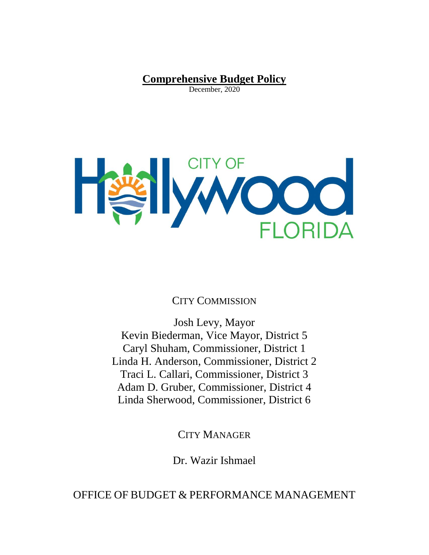**Comprehensive Budget Policy** December, 2020

<span id="page-0-0"></span>

CITY COMMISSION

Josh Levy, Mayor Kevin Biederman, Vice Mayor, District 5 Caryl Shuham, Commissioner, District 1 Linda H. Anderson, Commissioner, District 2 Traci L. Callari, Commissioner, District 3 Adam D. Gruber, Commissioner, District 4 Linda Sherwood, Commissioner, District 6

CITY MANAGER

Dr. Wazir Ishmael

OFFICE OF BUDGET & PERFORMANCE MANAGEMENT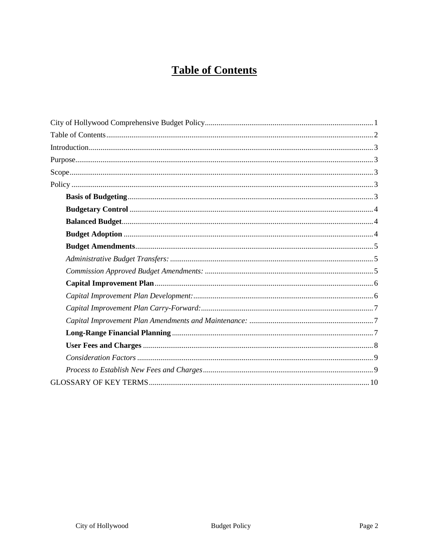# **Table of Contents**

<span id="page-1-0"></span>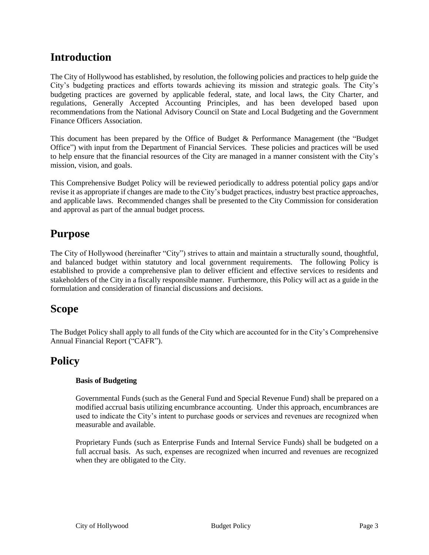# <span id="page-2-0"></span>**Introduction**

The City of Hollywood has established, by resolution, the following policies and practices to help guide the City's budgeting practices and efforts towards achieving its mission and strategic goals. The City's budgeting practices are governed by applicable federal, state, and local laws, the City Charter, and regulations, Generally Accepted Accounting Principles, and has been developed based upon recommendations from the National Advisory Council on State and Local Budgeting and the Government Finance Officers Association.

This document has been prepared by the Office of Budget & Performance Management (the "Budget Office") with input from the Department of Financial Services. These policies and practices will be used to help ensure that the financial resources of the City are managed in a manner consistent with the City's mission, vision, and goals.

This Comprehensive Budget Policy will be reviewed periodically to address potential policy gaps and/or revise it as appropriate if changes are made to the City's budget practices, industry best practice approaches, and applicable laws. Recommended changes shall be presented to the City Commission for consideration and approval as part of the annual budget process.

# <span id="page-2-1"></span>**Purpose**

The City of Hollywood (hereinafter "City") strives to attain and maintain a structurally sound, thoughtful, and balanced budget within statutory and local government requirements. The following Policy is established to provide a comprehensive plan to deliver efficient and effective services to residents and stakeholders of the City in a fiscally responsible manner. Furthermore, this Policy will act as a guide in the formulation and consideration of financial discussions and decisions.

# <span id="page-2-2"></span>**Scope**

The Budget Policy shall apply to all funds of the City which are accounted for in the City's Comprehensive Annual Financial Report ("CAFR").

# <span id="page-2-4"></span><span id="page-2-3"></span>**Policy**

## **Basis of Budgeting**

Governmental Funds (such as the General Fund and Special Revenue Fund) shall be prepared on a modified accrual basis utilizing encumbrance accounting. Under this approach, encumbrances are used to indicate the City's intent to purchase goods or services and revenues are recognized when measurable and available.

<span id="page-2-5"></span>Proprietary Funds (such as Enterprise Funds and Internal Service Funds) shall be budgeted on a full accrual basis. As such, expenses are recognized when incurred and revenues are recognized when they are obligated to the City.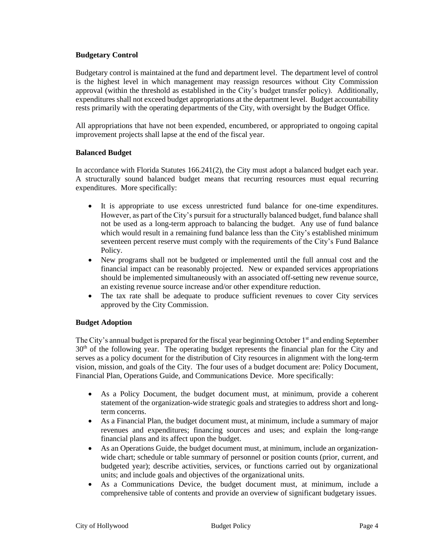#### **Budgetary Control**

Budgetary control is maintained at the fund and department level. The department level of control is the highest level in which management may reassign resources without City Commission approval (within the threshold as established in the City's budget transfer policy). Additionally, expenditures shall not exceed budget appropriations at the department level. Budget accountability rests primarily with the operating departments of the City, with oversight by the Budget Office.

All appropriations that have not been expended, encumbered, or appropriated to ongoing capital improvement projects shall lapse at the end of the fiscal year.

#### <span id="page-3-0"></span>**Balanced Budget**

In accordance with Florida Statutes 166.241(2), the City must adopt a balanced budget each year. A structurally sound balanced budget means that recurring resources must equal recurring expenditures. More specifically:

- It is appropriate to use excess unrestricted fund balance for one-time expenditures. However, as part of the City's pursuit for a structurally balanced budget, fund balance shall not be used as a long-term approach to balancing the budget. Any use of fund balance which would result in a remaining fund balance less than the City's established minimum seventeen percent reserve must comply with the requirements of the City's Fund Balance Policy.
- New programs shall not be budgeted or implemented until the full annual cost and the financial impact can be reasonably projected. New or expanded services appropriations should be implemented simultaneously with an associated off-setting new revenue source, an existing revenue source increase and/or other expenditure reduction.
- The tax rate shall be adequate to produce sufficient revenues to cover City services approved by the City Commission.

#### <span id="page-3-1"></span>**Budget Adoption**

The City's annual budget is prepared for the fiscal year beginning October  $1<sup>st</sup>$  and ending September  $30<sup>th</sup>$  of the following year. The operating budget represents the financial plan for the City and serves as a policy document for the distribution of City resources in alignment with the long-term vision, mission, and goals of the City. The four uses of a budget document are: Policy Document, Financial Plan, Operations Guide, and Communications Device. More specifically:

- As a Policy Document, the budget document must, at minimum, provide a coherent statement of the organization-wide strategic goals and strategies to address short and longterm concerns.
- As a Financial Plan, the budget document must, at minimum, include a summary of major revenues and expenditures; financing sources and uses; and explain the long-range financial plans and its affect upon the budget.
- As an Operations Guide, the budget document must, at minimum, include an organizationwide chart; schedule or table summary of personnel or position counts (prior, current, and budgeted year); describe activities, services, or functions carried out by organizational units; and include goals and objectives of the organizational units.
- As a Communications Device, the budget document must, at minimum, include a comprehensive table of contents and provide an overview of significant budgetary issues.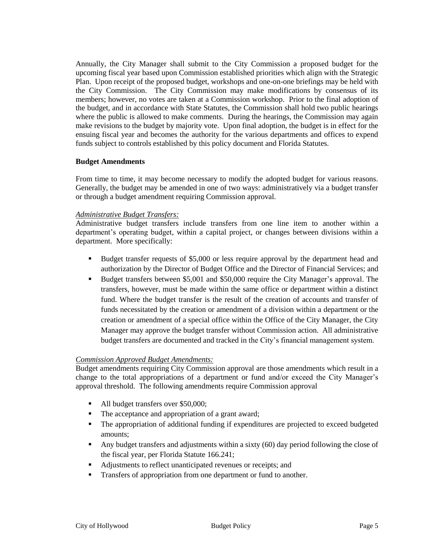Annually, the City Manager shall submit to the City Commission a proposed budget for the upcoming fiscal year based upon Commission established priorities which align with the Strategic Plan. Upon receipt of the proposed budget, workshops and one-on-one briefings may be held with the City Commission. The City Commission may make modifications by consensus of its members; however, no votes are taken at a Commission workshop. Prior to the final adoption of the budget, and in accordance with State Statutes, the Commission shall hold two public hearings where the public is allowed to make comments. During the hearings, the Commission may again make revisions to the budget by majority vote. Upon final adoption, the budget is in effect for the ensuing fiscal year and becomes the authority for the various departments and offices to expend funds subject to controls established by this policy document and Florida Statutes.

#### <span id="page-4-0"></span>**Budget Amendments**

From time to time, it may become necessary to modify the adopted budget for various reasons. Generally, the budget may be amended in one of two ways: administratively via a budget transfer or through a budget amendment requiring Commission approval.

#### <span id="page-4-1"></span>*Administrative Budget Transfers:*

Administrative budget transfers include transfers from one line item to another within a department's operating budget, within a capital project, or changes between divisions within a department. More specifically:

- Budget transfer requests of \$5,000 or less require approval by the department head and authorization by the Director of Budget Office and the Director of Financial Services; and
- Budget transfers between \$5,001 and \$50,000 require the City Manager's approval. The transfers, however, must be made within the same office or department within a distinct fund. Where the budget transfer is the result of the creation of accounts and transfer of funds necessitated by the creation or amendment of a division within a department or the creation or amendment of a special office within the Office of the City Manager, the City Manager may approve the budget transfer without Commission action. All administrative budget transfers are documented and tracked in the City's financial management system.

#### <span id="page-4-2"></span>*Commission Approved Budget Amendments:*

Budget amendments requiring City Commission approval are those amendments which result in a change to the total appropriations of a department or fund and/or exceed the City Manager's approval threshold. The following amendments require Commission approval

- All budget transfers over \$50,000;
- The acceptance and appropriation of a grant award;
- The appropriation of additional funding if expenditures are projected to exceed budgeted amounts;
- Any budget transfers and adjustments within a sixty (60) day period following the close of the fiscal year, per Florida Statute 166.241;
- Adjustments to reflect unanticipated revenues or receipts; and
- **Transfers of appropriation from one department or fund to another.**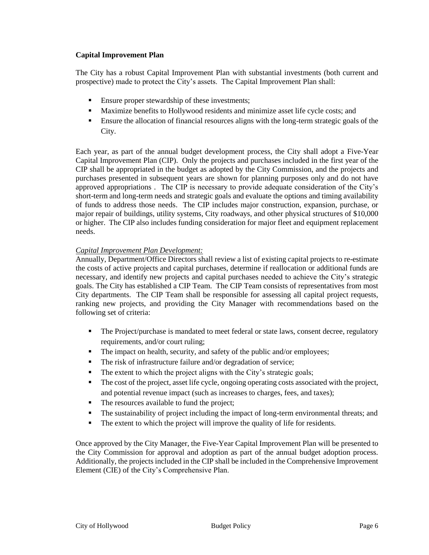#### <span id="page-5-0"></span>**Capital Improvement Plan**

The City has a robust Capital Improvement Plan with substantial investments (both current and prospective) made to protect the City's assets. The Capital Improvement Plan shall:

- **Ensure proper stewardship of these investments;**
- Maximize benefits to Hollywood residents and minimize asset life cycle costs; and
- Ensure the allocation of financial resources aligns with the long-term strategic goals of the City.

Each year, as part of the annual budget development process, the City shall adopt a Five-Year Capital Improvement Plan (CIP). Only the projects and purchases included in the first year of the CIP shall be appropriated in the budget as adopted by the City Commission, and the projects and purchases presented in subsequent years are shown for planning purposes only and do not have approved appropriations . The CIP is necessary to provide adequate consideration of the City's short-term and long-term needs and strategic goals and evaluate the options and timing availability of funds to address those needs. The CIP includes major construction, expansion, purchase, or major repair of buildings, utility systems, City roadways, and other physical structures of \$10,000 or higher. The CIP also includes funding consideration for major fleet and equipment replacement needs.

## <span id="page-5-1"></span>*Capital Improvement Plan Development:*

Annually, Department/Office Directors shall review a list of existing capital projects to re-estimate the costs of active projects and capital purchases, determine if reallocation or additional funds are necessary, and identify new projects and capital purchases needed to achieve the City's strategic goals. The City has established a CIP Team. The CIP Team consists of representatives from most City departments. The CIP Team shall be responsible for assessing all capital project requests, ranking new projects, and providing the City Manager with recommendations based on the following set of criteria:

- The Project/purchase is mandated to meet federal or state laws, consent decree, regulatory requirements, and/or court ruling;
- The impact on health, security, and safety of the public and/or employees;
- The risk of infrastructure failure and/or degradation of service;
- The extent to which the project aligns with the City's strategic goals;
- The cost of the project, asset life cycle, ongoing operating costs associated with the project, and potential revenue impact (such as increases to charges, fees, and taxes);
- The resources available to fund the project;
- The sustainability of project including the impact of long-term environmental threats; and
- The extent to which the project will improve the quality of life for residents.

Once approved by the City Manager, the Five-Year Capital Improvement Plan will be presented to the City Commission for approval and adoption as part of the annual budget adoption process. Additionally, the projects included in the CIP shall be included in the Comprehensive Improvement Element (CIE) of the City's Comprehensive Plan.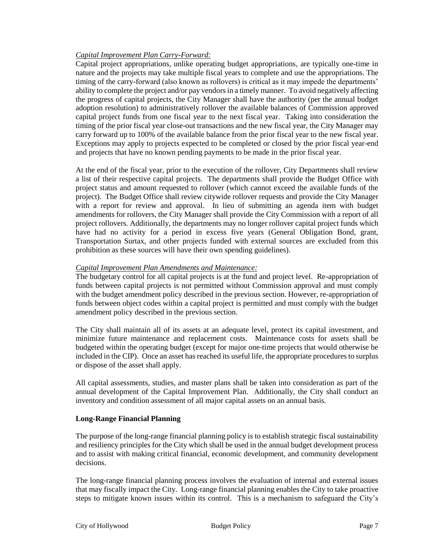### <span id="page-6-0"></span>*Capital Improvement Plan Carry-Forward:*

Capital project appropriations, unlike operating budget appropriations, are typically one-time in nature and the projects may take multiple fiscal years to complete and use the appropriations. The timing of the carry-forward (also known as rollovers) is critical as it may impede the departments' ability to complete the project and/or pay vendors in a timely manner. To avoid negatively affecting the progress of capital projects, the City Manager shall have the authority (per the annual budget adoption resolution) to administratively rollover the available balances of Commission approved capital project funds from one fiscal year to the next fiscal year. Taking into consideration the timing of the prior fiscal year close-out transactions and the new fiscal year, the City Manager may carry forward up to 100% of the available balance from the prior fiscal year to the new fiscal year. Exceptions may apply to projects expected to be completed or closed by the prior fiscal year-end and projects that have no known pending payments to be made in the prior fiscal year.

At the end of the fiscal year, prior to the execution of the rollover, City Departments shall review a list of their respective capital projects. The departments shall provide the Budget Office with project status and amount requested to rollover (which cannot exceed the available funds of the project). The Budget Office shall review citywide rollover requests and provide the City Manager with a report for review and approval. In lieu of submitting an agenda item with budget amendments for rollovers, the City Manager shall provide the City Commission with a report of all project rollovers. Additionally, the departments may no longer rollover capital project funds which have had no activity for a period in excess five years (General Obligation Bond, grant, Transportation Surtax, and other projects funded with external sources are excluded from this prohibition as these sources will have their own spending guidelines).

### <span id="page-6-1"></span>*Capital Improvement Plan Amendments and Maintenance:*

The budgetary control for all capital projects is at the fund and project level. Re-appropriation of funds between capital projects is not permitted without Commission approval and must comply with the budget amendment policy described in the previous section. However, re-appropriation of funds between object codes within a capital project is permitted and must comply with the budget amendment policy described in the previous section.

The City shall maintain all of its assets at an adequate level, protect its capital investment, and minimize future maintenance and replacement costs. Maintenance costs for assets shall be budgeted within the operating budget (except for major one-time projects that would otherwise be included in the CIP). Once an asset has reached its useful life, the appropriate procedures to surplus or dispose of the asset shall apply.

All capital assessments, studies, and master plans shall be taken into consideration as part of the annual development of the Capital Improvement Plan. Additionally, the City shall conduct an inventory and condition assessment of all major capital assets on an annual basis.

#### <span id="page-6-2"></span>**Long-Range Financial Planning**

The purpose of the long-range financial planning policy is to establish strategic fiscal sustainability and resiliency principles for the City which shall be used in the annual budget development process and to assist with making critical financial, economic development, and community development decisions.

The long-range financial planning process involves the evaluation of internal and external issues that may fiscally impact the City. Long-range financial planning enables the City to take proactive steps to mitigate known issues within its control. This is a mechanism to safeguard the City's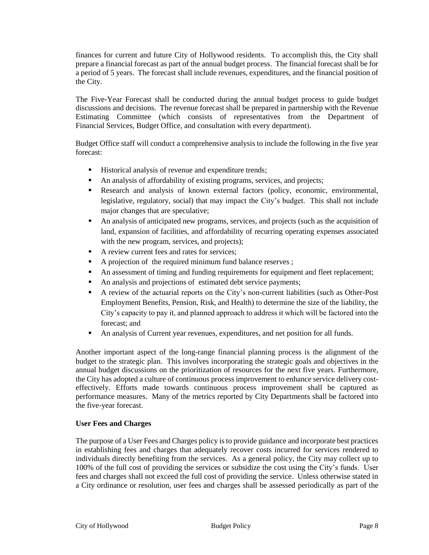finances for current and future City of Hollywood residents. To accomplish this, the City shall prepare a financial forecast as part of the annual budget process. The financial forecast shall be for a period of 5 years. The forecast shall include revenues, expenditures, and the financial position of the City.

The Five-Year Forecast shall be conducted during the annual budget process to guide budget discussions and decisions. The revenue forecast shall be prepared in partnership with the Revenue Estimating Committee (which consists of representatives from the Department of Financial Services, Budget Office, and consultation with every department).

Budget Office staff will conduct a comprehensive analysis to include the following in the five year forecast:

- **Historical analysis of revenue and expenditure trends;**
- An analysis of affordability of existing programs, services, and projects;
- Research and analysis of known external factors (policy, economic, environmental, legislative, regulatory, social) that may impact the City's budget. This shall not include major changes that are speculative;
- An analysis of anticipated new programs, services, and projects (such as the acquisition of land, expansion of facilities, and affordability of recurring operating expenses associated with the new program, services, and projects);
- A review current fees and rates for services;
- A projection of the required minimum fund balance reserves;
- An assessment of timing and funding requirements for equipment and fleet replacement;
- An analysis and projections of estimated debt service payments;
- A review of the actuarial reports on the City's non-current liabilities (such as Other-Post Employment Benefits, Pension, Risk, and Health) to determine the size of the liability, the City's capacity to pay it, and planned approach to address it which will be factored into the forecast; and
- An analysis of Current year revenues, expenditures, and net position for all funds.

Another important aspect of the long-range financial planning process is the alignment of the budget to the strategic plan. This involves incorporating the strategic goals and objectives in the annual budget discussions on the prioritization of resources for the next five years. Furthermore, the City has adopted a culture of continuous process improvement to enhance service delivery costeffectively. Efforts made towards continuous process improvement shall be captured as performance measures. Many of the metrics reported by City Departments shall be factored into the five-year forecast.

#### <span id="page-7-0"></span>**User Fees and Charges**

The purpose of a User Fees and Charges policy is to provide guidance and incorporate best practices in establishing fees and charges that adequately recover costs incurred for services rendered to individuals directly benefiting from the services. As a general policy, the City may collect up to 100% of the full cost of providing the services or subsidize the cost using the City's funds. User fees and charges shall not exceed the full cost of providing the service. Unless otherwise stated in a City ordinance or resolution, user fees and charges shall be assessed periodically as part of the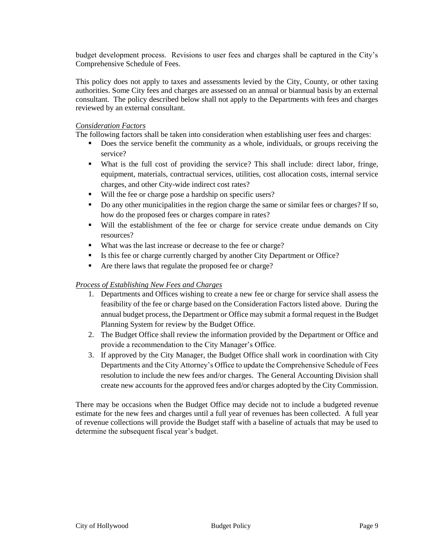budget development process. Revisions to user fees and charges shall be captured in the City's Comprehensive Schedule of Fees.

This policy does not apply to taxes and assessments levied by the City, County, or other taxing authorities. Some City fees and charges are assessed on an annual or biannual basis by an external consultant. The policy described below shall not apply to the Departments with fees and charges reviewed by an external consultant.

### <span id="page-8-0"></span>*Consideration Factors*

The following factors shall be taken into consideration when establishing user fees and charges:

- Does the service benefit the community as a whole, individuals, or groups receiving the service?
- What is the full cost of providing the service? This shall include: direct labor, fringe, equipment, materials, contractual services, utilities, cost allocation costs, internal service charges, and other City-wide indirect cost rates?
- Will the fee or charge pose a hardship on specific users?
- Do any other municipalities in the region charge the same or similar fees or charges? If so, how do the proposed fees or charges compare in rates?
- Will the establishment of the fee or charge for service create undue demands on City resources?
- What was the last increase or decrease to the fee or charge?
- Is this fee or charge currently charged by another City Department or Office?
- Are there laws that regulate the proposed fee or charge?

#### <span id="page-8-1"></span>*Process of Establishing New Fees and Charges*

- 1. Departments and Offices wishing to create a new fee or charge for service shall assess the feasibility of the fee or charge based on the Consideration Factors listed above. During the annual budget process, the Department or Office may submit a formal request in the Budget Planning System for review by the Budget Office.
- 2. The Budget Office shall review the information provided by the Department or Office and provide a recommendation to the City Manager's Office.
- 3. If approved by the City Manager, the Budget Office shall work in coordination with City Departments and the City Attorney's Office to update the Comprehensive Schedule of Fees resolution to include the new fees and/or charges. The General Accounting Division shall create new accounts for the approved fees and/or charges adopted by the City Commission.

There may be occasions when the Budget Office may decide not to include a budgeted revenue estimate for the new fees and charges until a full year of revenues has been collected. A full year of revenue collections will provide the Budget staff with a baseline of actuals that may be used to determine the subsequent fiscal year's budget.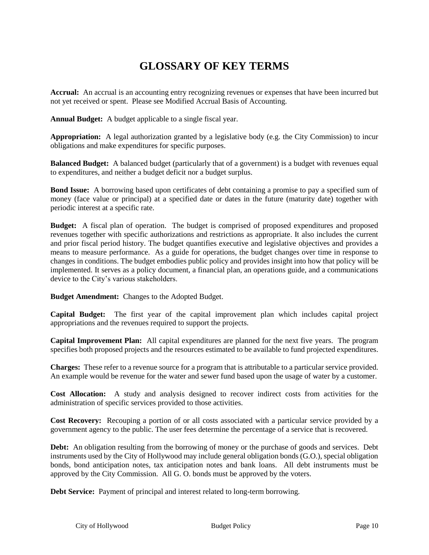# **GLOSSARY OF KEY TERMS**

<span id="page-9-0"></span>**Accrual:** An accrual is an accounting entry recognizing revenues or expenses that have been incurred but not yet received or spent. Please see Modified Accrual Basis of Accounting.

**Annual Budget:** A budget applicable to a single fiscal year.

**Appropriation:** A legal authorization granted by a legislative body (e.g. the City Commission) to incur obligations and make expenditures for specific purposes.

**Balanced Budget:** A balanced budget (particularly that of a government) is a budget with revenues equal to expenditures, and neither a budget deficit nor a budget surplus.

**Bond Issue:** A borrowing based upon certificates of debt containing a promise to pay a specified sum of money (face value or principal) at a specified date or dates in the future (maturity date) together with periodic interest at a specific rate.

**Budget:** A fiscal plan of operation. The budget is comprised of proposed expenditures and proposed revenues together with specific authorizations and restrictions as appropriate. It also includes the current and prior fiscal period history. The budget quantifies executive and legislative objectives and provides a means to measure performance. As a guide for operations, the budget changes over time in response to changes in conditions. The budget embodies public policy and provides insight into how that policy will be implemented. It serves as a policy document, a financial plan, an operations guide, and a communications device to the City's various stakeholders.

**Budget Amendment:** Changes to the Adopted Budget.

**Capital Budget:** The first year of the capital improvement plan which includes capital project appropriations and the revenues required to support the projects.

**Capital Improvement Plan:** All capital expenditures are planned for the next five years. The program specifies both proposed projects and the resources estimated to be available to fund projected expenditures.

**Charges:** These refer to a revenue source for a program that is attributable to a particular service provided. An example would be revenue for the water and sewer fund based upon the usage of water by a customer.

**Cost Allocation:** A study and analysis designed to recover indirect costs from activities for the administration of specific services provided to those activities.

**Cost Recovery:** Recouping a portion of or all costs associated with a particular service provided by a government agency to the public. The user fees determine the percentage of a service that is recovered.

**Debt:** An obligation resulting from the borrowing of money or the purchase of goods and services. Debt instruments used by the City of Hollywood may include general obligation bonds (G.O.), special obligation bonds, bond anticipation notes, tax anticipation notes and bank loans. All debt instruments must be approved by the City Commission. All G. O. bonds must be approved by the voters.

**Debt Service:** Payment of principal and interest related to long-term borrowing.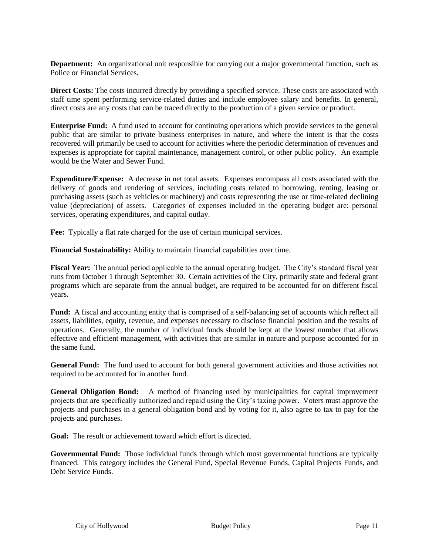**Department:** An organizational unit responsible for carrying out a major governmental function, such as Police or Financial Services.

**Direct Costs:** The costs incurred directly by providing a specified service. These costs are associated with staff time spent performing service-related duties and include employee salary and benefits. In general, direct costs are any costs that can be traced directly to the production of a given service or product.

**Enterprise Fund:** A fund used to account for continuing operations which provide services to the general public that are similar to private business enterprises in nature, and where the intent is that the costs recovered will primarily be used to account for activities where the periodic determination of revenues and expenses is appropriate for capital maintenance, management control, or other public policy. An example would be the Water and Sewer Fund.

**Expenditure/Expense:** A decrease in net total assets. Expenses encompass all costs associated with the delivery of goods and rendering of services, including costs related to borrowing, renting, leasing or purchasing assets (such as vehicles or machinery) and costs representing the use or time-related declining value (depreciation) of assets. Categories of expenses included in the operating budget are: personal services, operating expenditures, and capital outlay.

**Fee:** Typically a flat rate charged for the use of certain municipal services.

**Financial Sustainability:** Ability to maintain financial capabilities over time.

**Fiscal Year:** The annual period applicable to the annual operating budget. The City's standard fiscal year runs from October 1 through September 30. Certain activities of the City, primarily state and federal grant programs which are separate from the annual budget, are required to be accounted for on different fiscal years.

**Fund:** A fiscal and accounting entity that is comprised of a self-balancing set of accounts which reflect all assets, liabilities, equity, revenue, and expenses necessary to disclose financial position and the results of operations. Generally, the number of individual funds should be kept at the lowest number that allows effective and efficient management, with activities that are similar in nature and purpose accounted for in the same fund.

**General Fund:** The fund used to account for both general government activities and those activities not required to be accounted for in another fund.

**General Obligation Bond:** A method of financing used by municipalities for capital improvement projects that are specifically authorized and repaid using the City's taxing power. Voters must approve the projects and purchases in a general obligation bond and by voting for it, also agree to tax to pay for the projects and purchases.

**Goal:** The result or achievement toward which effort is directed.

**Governmental Fund:** Those individual funds through which most governmental functions are typically financed. This category includes the General Fund, Special Revenue Funds, Capital Projects Funds, and Debt Service Funds.